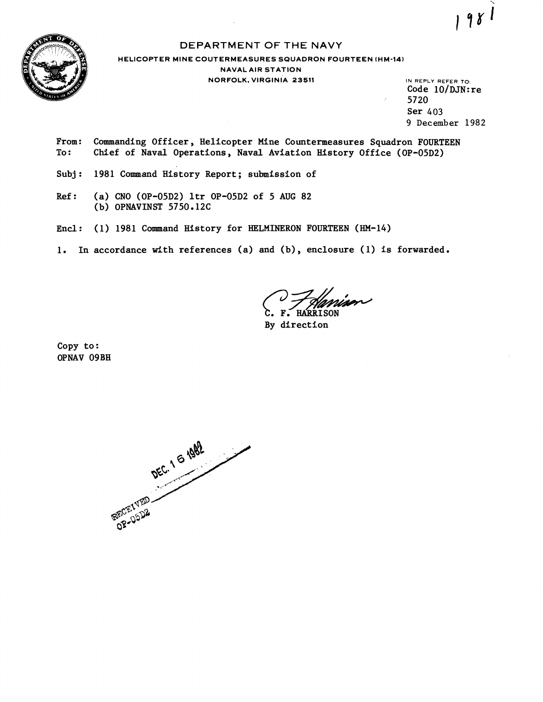

# DEPARTMENT OF THE NAVY

# **HELICOPTER MINE COUTERMEASURES SQUADRON FOURTEEN (HM-14) NAVAL AIR STATION NORFOLK. VIRGINIA 23511** IN REPLY REFER TO

Code  $10/DJN:re$ 5720 Ser 403 9 **December** 1982

 $981$ 

- From: Commanding Officer, Helicopter Mine Countermeasures Squadron FOURTEEN<br>To: Chief of Naval Operations, Naval Aviation History Office (OP-05D2) Chief of Naval Operations, Naval Aviation History Office (OP-05D2)
- Subj: 1981 Command History Report; submission of
- Ref: (a) CNO (OP-05D2) ltr OP-05D2 of 5 **AUG** 82 (b) OPNAVINST 5750.12C
- Encl: (1) 1981 Command Hlstory for HELMINERON FOURTEEN (HM-14)
- 1. In accordance with references (a) and (b), enclosure (1) is forwarded.

*c. F. Hannier* 

By direction

Copy to : OPNAV **09BH** 

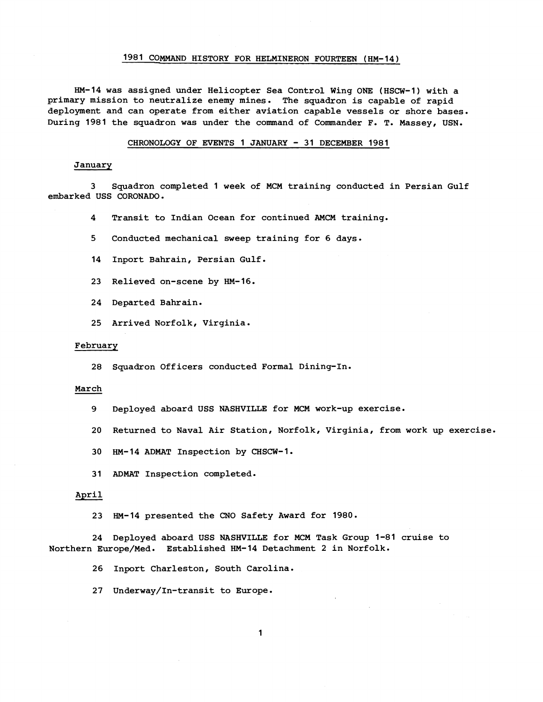# 1981 COMMAND HISTORY FOR HELMINERON FOURTEEN (HM-14)

HM-14 was assigned under Helicopter Sea Control Wing ONE (HSCW-1) with a primary mission to neutralize enemy mines. The squadron is capable of rapid deployment and can operate from either aviation capable vessels or shore bases. During 1981 the squadron was under the command of Commander F. T. Massey, USN.

### CHRONOLOGY OF EVENTS 1 JANUARY - 31 DECEMBER 1981

# **January**

3 Squadron completed 1 week of MCM training conducted in Persian Gulf embarked USS CORONADO.

4 Transit to Indian Ocean for continued **AMCM** training.

5 Conducted mechanical sweep training for 6 days.

- 14 Inport Bahrain, Persian Gulf.
- 23 Relieved on-scene by HM-16.
- 24 Departed Bahrain.
- 25 Arrived Norfolk, Virginia.

#### February

28 Squadron Officers conducted Formal Dining-In.

#### March

- 9 Deployed aboard USS NASHVILLE for MCM work-up exercise.
- 20 Returned to Naval Air Station, Norfolk, Virginia, from work up exercise.
- 30 HM-14 ADMAT Inspection by CHSCW-1.
- 31 ADMAT Inspection completed.

## April

23 HM-14 presented the CNO Safety Award for 1980.

24 Deployed aboard USS NASHVILLE for MCM Task Group 1-81 cruise to Northern Europe/Med. Established HM-14 Detachment 2 in Norfolk.

26 Inport Charleston, South Carolina.

27 Underway/In-transit to Europe.

 $\mathbf 1$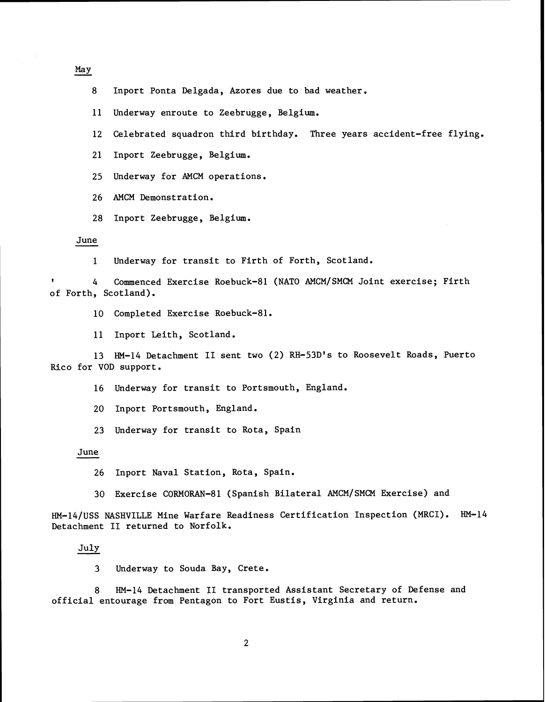May

- 8 Inport Ponta Delgada, Azores due to bad weather.
- 11 Underway enroute to Zeebrugge, Belgium.
- 12 Celebrated squadron third birthday. Three years accident-free flying.
- 21 Inport Zeebrugge, Belgium.
- 25 Underway for AMCM operations.
- 26 AMCM Demonstration.
- 28 Inport Zeebrugge, Belgium.

#### June

- 1 Underway for transit to Firth of Forth, Scotland.
- **<sup>t</sup>**4 Commenced Exercise Roebuck-81 (NATO AMCM/SMCM Joint exercise; Firth of Forth, Scotland).
	- 10 Completed Exercise Roebuck-81.
	- 11 Inport Leith, Scotland.
- 13 HM-14 Detachment I1 sent two (2) RH-53D's to Roosevelt Roads, Puerto Rico for VOD support.
	- 16 Underway for transit to Portsmouth, England.
	- 20 Inport Portsmouth, England.
	- **23** Underway for transit to Rota, Spain

# June

- 26 Inport Naval Station, Rota, Spain.
- **30** Exercise CORMORAN-81 (Spanish Bilateral AMCM/SMCM Exercise) and

HM-l4/uSS NASHVILLE Mine Warfare Readiness Certification Inspection (MRCI). HM-14 Detachment I1 returned to Norfolk. 30 Exe<br>
/USS NASHV<br>
hment II r<br>
July<br>
3 Und

**3** Underway to Souda Bay, Crete.

8 HM-14 Detachment I1 transported Assistant Secretary of Defense and official entourage from Pentagon to Fort Eustis, Virginia and return.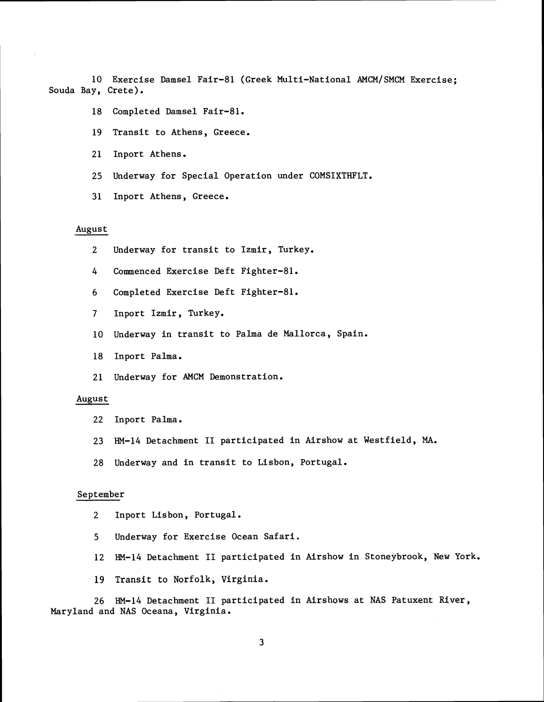10 Exercise Damsel Fair-81 (Greek Multi-National AMCM/SMCM Exercise; Souda Bay, Crete).

- 18 Completed Damsel Fair-81.
- 19 Transit to Athens, Greece.
- 21 Inport Athens.
- 25 Underway for Special Operation under COMSIXTHFLT.
- 31 Inport Athens, Greece.

# August

- 2 Underway for transit to Izmir, Turkey.
- 4 Commenced Exercise Deft Fighter-81.
- 6 Completed Exercise Deft Fighter-81.
- 7 Inport Izmir, Turkey.
- 10 Underway in transit to Palma de Mallorca, Spain.
- 18 Inport Palma.
- 21 Underway for AMCM Demonstration.

# August

- 22 Inport Palma.
- 23 HM-14 Detachment I1 participated in Airshow at Westfield, MA.
- 28 Underway and in transit to Lisbon, Portugal.

# September

- 2 Inport Lisbon, Portugal.
- **5** Underway for Exercise Ocean Safari.
- 12 HM-14 Detachment I1 participated in Airshow in Stoneybrook, New York.
- 19 Transit to Norfolk, Virginia.

26 HM-14 Detachment I1 participated in Airshows at NAS Patuxent River, Maryland and NAS Oceana, Virginia.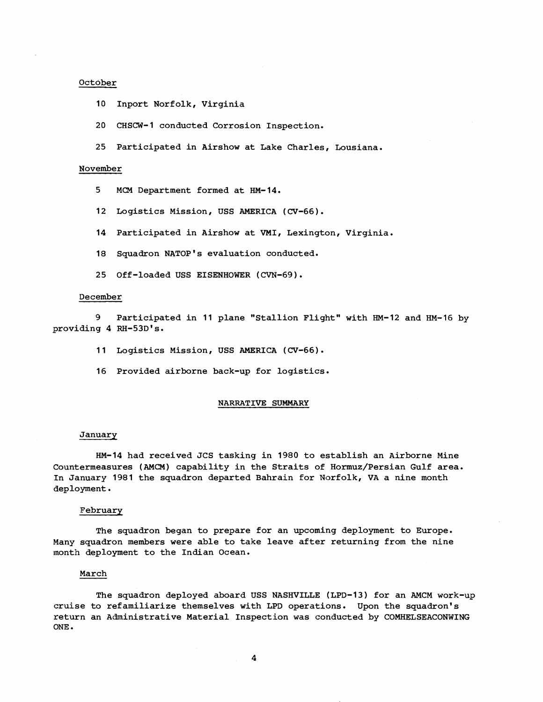# October

- 10 Inport Norfolk, Virginia
- 20 CHSCW-1 conducted Corrosion Inspection.
- 25 Participated in Airshow at Lake Charles, Lousiana.

### November

- 5 MCM Department formed at HM-14.
- 12 Logistics Mission, USS AMERICA (CV-66).
- 14 Participated in Airshow at VMI, Lexington, Virginia.
- 18 Squadron NATOP's evaluation conducted.
- 25 Off-loaded USS EISENHOWER (CVN-69).

### December

9 Participated in 11 plane "Stallion Flight" with HM-12 and HM-16 by providing 4 RH-53D's.

- 11 Logistics Mission, USS AMERICA (CV-66).
- 16 Provided airborne back-up for logistics.

#### NARRATIVE SUMMARY

#### January

HM-14 had received JCS tasking in 1980 to establish an Airborne Mine Countermeasures **(AMCM)** capability in the Straits of Hormuz/Persian Gulf area. In January 1981 the squadron departed Bahrain for Norfolk, VA a nine month deployment.

## February

The squadron began to prepare for an upcoming deployment to Europe. Many squadron members were able to take leave after returning from the nine month deployment to the Indian Ocean.

# March

The squadron deployed aboard USS NASHVILLE (LPD-13) for an AMCM work-up cruise to refamiliarize themselves with LPD operations. Upon the squadron's return an Administrative Material Inspection was conducted by COMHELSEACONWING ONE.

 $\boldsymbol{4}$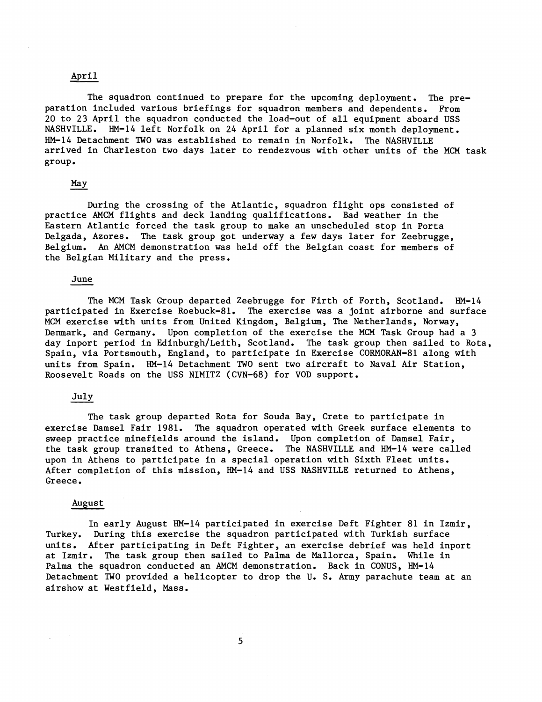April<br>The squad The squadron continued to prepare for the upcoming deployment. The preparation included various briefings for squadron members and dependents. From 20 to 23 April the squadron conducted the load-out of all equipment aboard USS NASHVILLE. HM-14 left Norfolk on 24 April for a planned six month deployment. HM-14 Detachment TWO was established to remain in Norfolk. The NASHVILLE arrived in Charleston two days later to rendezvous with other units of the MCM task group .

# May

During the crossing of the Atlantic, squadron flight ops consisted of practice AMCM flights and deck landing qualifications. Bad weather in the Eastern Atlantic forced the task group to make an unscheduled stop in Porta Delgada, Azores. The task group got underway a few days later for Zeebrugge, Belgium. An AMCM demonstration was held off the Belgian coast for members of the Belgian Military and the press.

## June

The MCM Task Group departed Zeebrugge for Firth of Forth, Scotland. HM-14 participated in Exercise Roebuck-81. The exercise was a joint airborne and surface MCM exercise with units from United Kingdom, Belgium, The Netherlands, Norway, Denmark, and Germany. Upon completion of the exercise the MCM Task Group had a 3 day inport period in Edinburgh/Leith, Scotland. The task group then sailed to Rota, Spain, via Portsmouth, England, to participate in Exercise CORMORAN-81 along with units from Spain. HM-14 Detachment TWO sent two aircraft to Naval Air Station, Roosevelt Roads on the USS NIMITZ (CVN-68) for VOD support.

# July

The task group departed Rota for Souda Bay, Crete to participate in exercise Damsel Fair 1981. The squadron operated with Greek surface elements to sweep practice minefields around the island. Upon completion of Damsel Fair, the task group transited to Athens, Greece. The NASHVILLE and HM-14 were called upon in Athens to participate in a special operation with Sixth Fleet units. After completion of this mission, HM-14 and USS NASHVILLE returned to Athens, Greece.

# August

In early August HM-14 participated in exercise Deft Fighter 81 in Izmir, Turkey. During this exercise the squadron participated with Turkish surface units. After participating in Deft Fighter, an exercise debrief was held inport at Izmir. The task group then sailed to Palma de Mallorca, Spain. While in Palma the squadron conducted an AMCM demonstration. Back in CONUS, HM-14 Detachment TWO provided a helicopter to drop the U. S. Army parachute team at an airshow at Westfield, Mass.

5